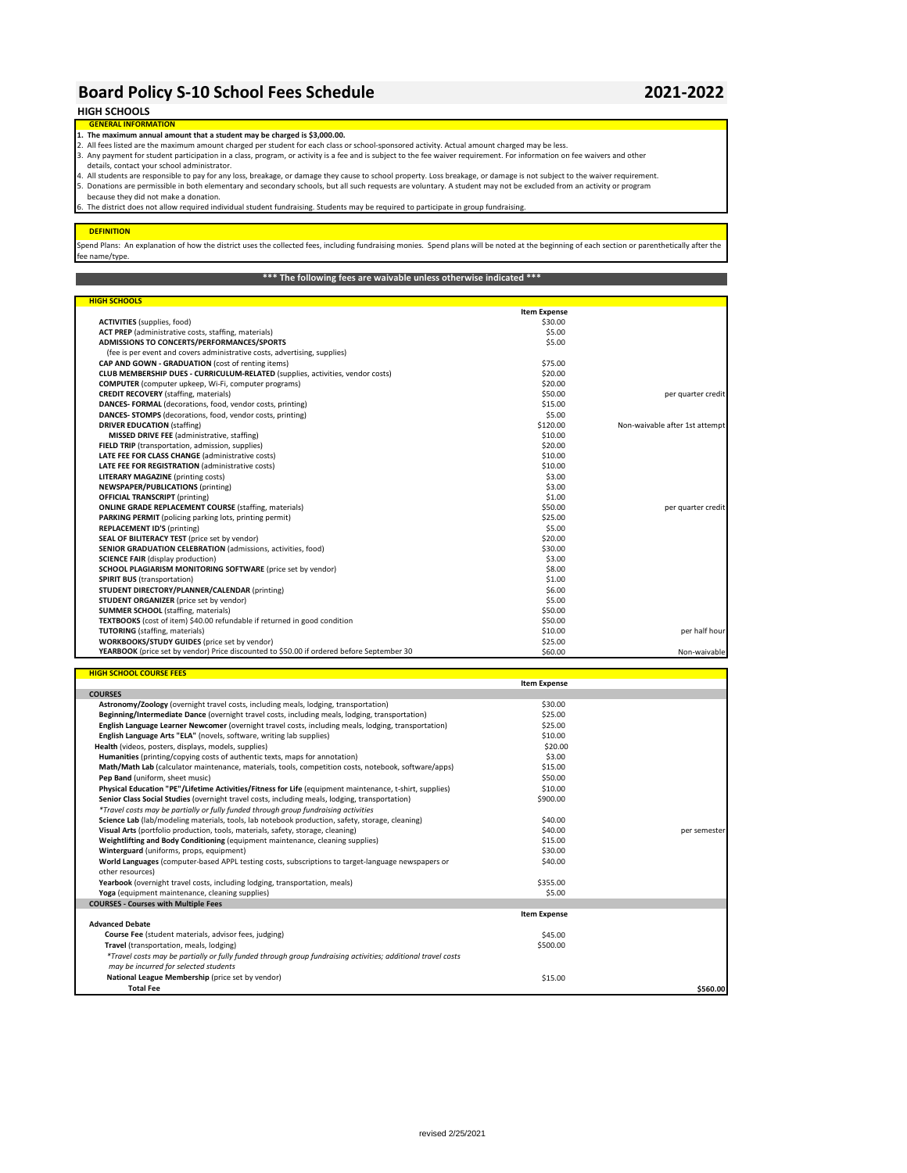# **Board Policy S-10 School Fees Schedule 2021-2022**

## **HIGH SCHOOLS**

**GENERAL INF 1. The maximum annual amount that a student may be charged is \$3,000.00.**

- 2. All fees listed are the maximum amount charged per student for each class or school-sponsored activity. Actual amount charged may be less. 3. Any payment for student participation in a class, program, or activity is a fee and is subject to the fee waiver requirement. For information on fee waivers and other
- details, contact your school administrator.

4. All students are responsible to pay for any loss, breakage, or damage they cause to school property. Loss breakage, or damage is not subject to the waiver requirement.<br>5. Donations are permissible in both elementary an

## 5. because they did not make a donation.

The district does not allow required individual student fundraising. Students may be required to participate in group fundraising.

#### **DEFINITION**

Spend Plans: An explanation of how the district uses the collected fees, including fundraising monies. Spend plans will be noted at the beginning of each section or parenthetically after the .<br>ee name/type

### **\*\*\* The following fees are waivable unless otherwise indicated \*\*\***

| <b>HIGH SCHOOLS</b>                                                                       |                     |                                |
|-------------------------------------------------------------------------------------------|---------------------|--------------------------------|
|                                                                                           | <b>Item Expense</b> |                                |
| <b>ACTIVITIES</b> (supplies, food)                                                        | \$30.00             |                                |
| ACT PREP (administrative costs, staffing, materials)                                      | \$5.00              |                                |
| ADMISSIONS TO CONCERTS/PERFORMANCES/SPORTS                                                | \$5.00              |                                |
| (fee is per event and covers administrative costs, advertising, supplies)                 |                     |                                |
| CAP AND GOWN - GRADUATION (cost of renting items)                                         | \$75.00             |                                |
| CLUB MEMBERSHIP DUES - CURRICULUM-RELATED (supplies, activities, vendor costs)            | \$20.00             |                                |
| <b>COMPUTER</b> (computer upkeep, Wi-Fi, computer programs)                               | \$20.00             |                                |
| <b>CREDIT RECOVERY</b> (staffing, materials)                                              | \$50.00             | per quarter credit             |
| DANCES- FORMAL (decorations, food, vendor costs, printing)                                | \$15.00             |                                |
| DANCES- STOMPS (decorations, food, vendor costs, printing)                                | \$5.00              |                                |
| <b>DRIVER EDUCATION (staffing)</b>                                                        | \$120.00            | Non-waivable after 1st attempt |
| MISSED DRIVE FEE (administrative, staffing)                                               | \$10.00             |                                |
| FIELD TRIP (transportation, admission, supplies)                                          | \$20.00             |                                |
| LATE FEE FOR CLASS CHANGE (administrative costs)                                          | \$10.00             |                                |
| LATE FEE FOR REGISTRATION (administrative costs)                                          | \$10.00             |                                |
| <b>LITERARY MAGAZINE</b> (printing costs)                                                 | \$3.00              |                                |
| NEWSPAPER/PUBLICATIONS (printing)                                                         | \$3.00              |                                |
| <b>OFFICIAL TRANSCRIPT</b> (printing)                                                     | \$1.00              |                                |
| <b>ONLINE GRADE REPLACEMENT COURSE (staffing, materials)</b>                              | \$50.00             | per quarter credit             |
| PARKING PERMIT (policing parking lots, printing permit)                                   | \$25.00             |                                |
| <b>REPLACEMENT ID'S (printing)</b>                                                        | \$5.00              |                                |
| SEAL OF BILITERACY TEST (price set by vendor)                                             | \$20.00             |                                |
| SENIOR GRADUATION CELEBRATION (admissions, activities, food)                              | \$30.00             |                                |
| <b>SCIENCE FAIR (display production)</b>                                                  | \$3.00              |                                |
| SCHOOL PLAGIARISM MONITORING SOFTWARE (price set by vendor)                               | \$8.00              |                                |
| <b>SPIRIT BUS (transportation)</b>                                                        | \$1.00              |                                |
| STUDENT DIRECTORY/PLANNER/CALENDAR (printing)                                             | \$6.00              |                                |
| STUDENT ORGANIZER (price set by vendor)                                                   | \$5.00              |                                |
| <b>SUMMER SCHOOL</b> (staffing, materials)                                                | \$50.00             |                                |
| TEXTBOOKS (cost of item) \$40.00 refundable if returned in good condition                 | \$50.00             |                                |
| <b>TUTORING</b> (staffing, materials)                                                     | \$10.00             | per half hour                  |
| <b>WORKBOOKS/STUDY GUIDES</b> (price set by vendor)                                       | \$25.00             |                                |
| YEARBOOK (price set by vendor) Price discounted to \$50.00 if ordered before September 30 | \$60.00             | Non-waivable                   |

| <b>HIGH SCHOOL COURSE FEES</b>                                                                               |                     |              |
|--------------------------------------------------------------------------------------------------------------|---------------------|--------------|
|                                                                                                              | <b>Item Expense</b> |              |
| <b>COURSES</b>                                                                                               |                     |              |
| Astronomy/Zoology (overnight travel costs, including meals, lodging, transportation)                         | \$30.00             |              |
| Beginning/Intermediate Dance (overnight travel costs, including meals, lodging, transportation)              | \$25.00             |              |
| English Language Learner Newcomer (overnight travel costs, including meals, lodging, transportation)         | \$25.00             |              |
| English Language Arts "ELA" (novels, software, writing lab supplies)                                         | \$10.00             |              |
| Health (videos, posters, displays, models, supplies)                                                         | \$20.00             |              |
| Humanities (printing/copying costs of authentic texts, maps for annotation)                                  | \$3.00              |              |
| Math/Math Lab (calculator maintenance, materials, tools, competition costs, notebook, software/apps)         | \$15.00             |              |
| Pep Band (uniform, sheet music)                                                                              | \$50.00             |              |
| Physical Education "PE"/Lifetime Activities/Fitness for Life (equipment maintenance, t-shirt, supplies)      | \$10.00             |              |
| Senior Class Social Studies (overnight travel costs, including meals, lodging, transportation)               | \$900.00            |              |
| *Travel costs may be partially or fully funded through group fundraising activities                          |                     |              |
| Science Lab (lab/modeling materials, tools, lab notebook production, safety, storage, cleaning)              | \$40.00             |              |
| Visual Arts (portfolio production, tools, materials, safety, storage, cleaning)                              | \$40.00             | per semester |
| Weightlifting and Body Conditioning (equipment maintenance, cleaning supplies)                               | \$15.00             |              |
| Winterguard (uniforms, props, equipment)                                                                     | \$30.00             |              |
| World Languages (computer-based APPL testing costs, subscriptions to target-language newspapers or           | \$40.00             |              |
| other resources)                                                                                             |                     |              |
| Yearbook (overnight travel costs, including lodging, transportation, meals)                                  | \$355.00            |              |
| Yoga (equipment maintenance, cleaning supplies)                                                              | \$5.00              |              |
| <b>COURSES - Courses with Multiple Fees</b>                                                                  |                     |              |
|                                                                                                              | <b>Item Expense</b> |              |
| <b>Advanced Debate</b>                                                                                       |                     |              |
| Course Fee (student materials, advisor fees, judging)                                                        | \$45.00             |              |
| Travel (transportation, meals, lodging)                                                                      | \$500.00            |              |
| *Travel costs may be partially or fully funded through group fundraising activities; additional travel costs |                     |              |
| may be incurred for selected students                                                                        |                     |              |
| National League Membership (price set by vendor)                                                             | \$15.00             |              |
| <b>Total Fee</b>                                                                                             |                     | \$560.00     |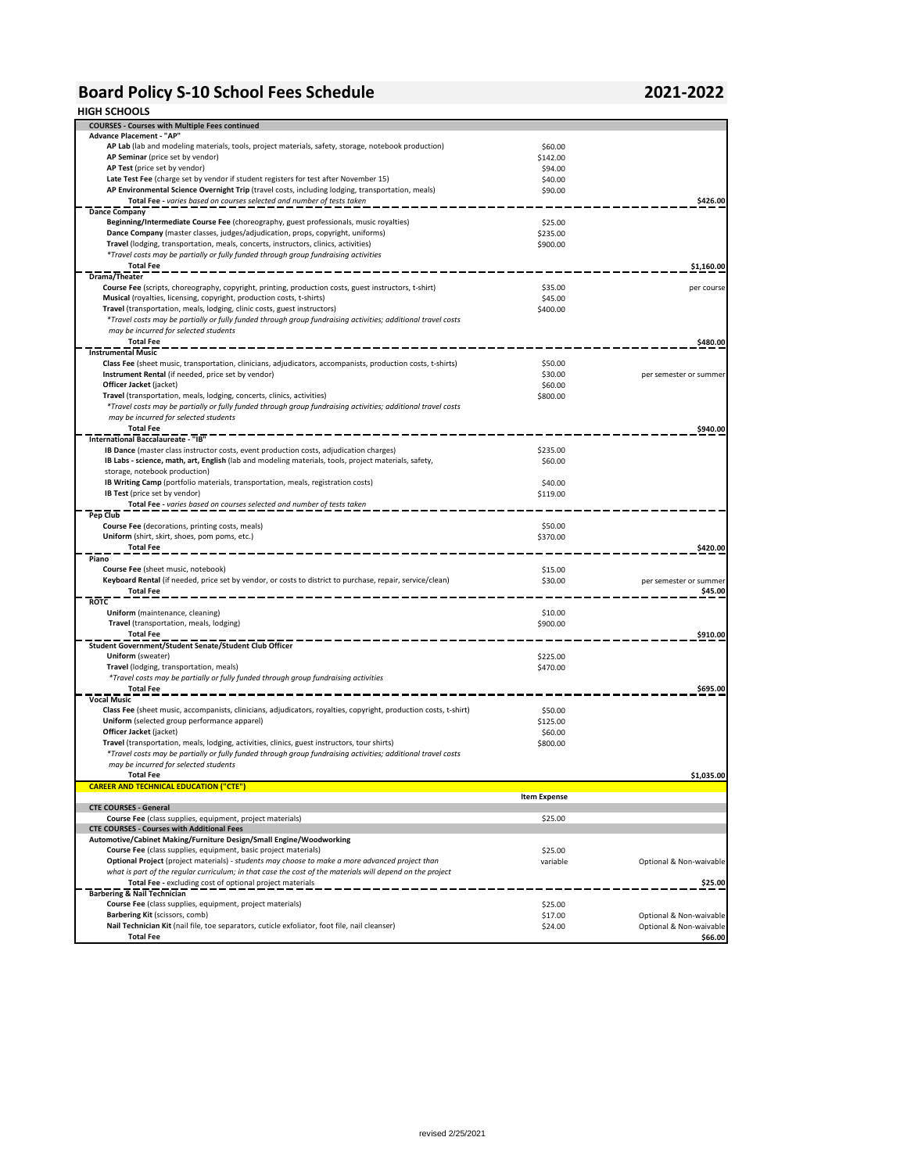## **Board Policy S-10 School Fees Schedule 2021-2022**

### **HIGH SCHOOLS**

| <b>COURSES - Courses with Multiple Fees continued</b>                                                                                                                                  |                     |                                    |
|----------------------------------------------------------------------------------------------------------------------------------------------------------------------------------------|---------------------|------------------------------------|
| Advance Placement - "AP"                                                                                                                                                               |                     |                                    |
| AP Lab (lab and modeling materials, tools, project materials, safety, storage, notebook production)                                                                                    | \$60.00             |                                    |
| AP Seminar (price set by vendor)                                                                                                                                                       | \$142.00            |                                    |
| AP Test (price set by vendor)                                                                                                                                                          | \$94.00             |                                    |
| Late Test Fee (charge set by vendor if student registers for test after November 15)                                                                                                   | \$40.00             |                                    |
| AP Environmental Science Overnight Trip (travel costs, including lodging, transportation, meals)                                                                                       | \$90.00             |                                    |
| Total Fee - varies based on courses selected and number of tests taken                                                                                                                 |                     | \$426.00                           |
| <b>Dance Company</b>                                                                                                                                                                   |                     |                                    |
| Beginning/Intermediate Course Fee (choreography, guest professionals, music royalties)                                                                                                 | \$25.00             |                                    |
| Dance Company (master classes, judges/adjudication, props, copyright, uniforms)                                                                                                        | \$235.00            |                                    |
| Travel (lodging, transportation, meals, concerts, instructors, clinics, activities)                                                                                                    | \$900.00            |                                    |
| *Travel costs may be partially or fully funded through group fundraising activities                                                                                                    |                     |                                    |
| <b>Total Fee</b>                                                                                                                                                                       |                     | \$1,160.00                         |
| Drama/Theater                                                                                                                                                                          |                     |                                    |
| Course Fee (scripts, choreography, copyright, printing, production costs, guest instructors, t-shirt)                                                                                  | \$35.00             | per course                         |
| Musical (royalties, licensing, copyright, production costs, t-shirts)                                                                                                                  | \$45.00             |                                    |
| Travel (transportation, meals, lodging, clinic costs, guest instructors)                                                                                                               | \$400.00            |                                    |
| *Travel costs may be partially or fully funded through group fundraising activities; additional travel costs                                                                           |                     |                                    |
| may be incurred for selected students                                                                                                                                                  |                     |                                    |
| <b>Total Fee</b>                                                                                                                                                                       |                     | \$480.00                           |
| <b>Instrumental Music</b>                                                                                                                                                              |                     |                                    |
| Class Fee (sheet music, transportation, clinicians, adjudicators, accompanists, production costs, t-shirts)                                                                            | \$50.00             |                                    |
| Instrument Rental (if needed, price set by vendor)                                                                                                                                     | \$30.00             | per semester or summer             |
| Officer Jacket (jacket)                                                                                                                                                                | \$60.00             |                                    |
| Travel (transportation, meals, lodging, concerts, clinics, activities)<br>*Travel costs may be partially or fully funded through group fundraising activities; additional travel costs | \$800.00            |                                    |
| may be incurred for selected students                                                                                                                                                  |                     |                                    |
| <b>Total Fee</b>                                                                                                                                                                       |                     | \$940.00                           |
| International Baccalaureate - "IB"                                                                                                                                                     |                     |                                    |
| IB Dance (master class instructor costs, event production costs, adjudication charges)                                                                                                 | \$235.00            |                                    |
| IB Labs - science, math, art, English (lab and modeling materials, tools, project materials, safety,                                                                                   | \$60.00             |                                    |
| storage, notebook production)                                                                                                                                                          |                     |                                    |
| IB Writing Camp (portfolio materials, transportation, meals, registration costs)                                                                                                       | \$40.00             |                                    |
| IB Test (price set by vendor)                                                                                                                                                          | \$119.00            |                                    |
| Total Fee - varies based on courses selected and number of tests taken                                                                                                                 |                     |                                    |
| Pep Club                                                                                                                                                                               |                     |                                    |
| Course Fee (decorations, printing costs, meals)                                                                                                                                        | \$50.00             |                                    |
| Uniform (shirt, skirt, shoes, pom poms, etc.)                                                                                                                                          | \$370.00            |                                    |
| <b>Total Fee</b>                                                                                                                                                                       |                     | \$420.00                           |
| Piano                                                                                                                                                                                  |                     |                                    |
| Course Fee (sheet music, notebook)                                                                                                                                                     | \$15.00             |                                    |
| Keyboard Rental (if needed, price set by vendor, or costs to district to purchase, repair, service/clean)                                                                              | \$30.00             | per semester or summer             |
| <b>Total Fee</b>                                                                                                                                                                       |                     | \$45.00                            |
| <b>ROTC</b>                                                                                                                                                                            |                     |                                    |
| Uniform (maintenance, cleaning)                                                                                                                                                        | \$10.00             |                                    |
| Travel (transportation, meals, lodging)                                                                                                                                                | \$900.00            |                                    |
| <b>Total Fee</b>                                                                                                                                                                       |                     | \$910.00                           |
| Student Government/Student Senate/Student Club Officer                                                                                                                                 |                     |                                    |
| Uniform (sweater)                                                                                                                                                                      | \$225.00            |                                    |
| Travel (lodging, transportation, meals)                                                                                                                                                | \$470.00            |                                    |
| *Travel costs may be partially or fully funded through group fundraising activities                                                                                                    |                     |                                    |
| <b>Total Fee</b>                                                                                                                                                                       |                     | \$695.00                           |
| <b>Vocal Music</b>                                                                                                                                                                     |                     |                                    |
| Class Fee (sheet music, accompanists, clinicians, adjudicators, royalties, copyright, production costs, t-shirt)                                                                       | \$50.00             |                                    |
| Uniform (selected group performance apparel)<br>Officer Jacket (jacket)                                                                                                                | \$125.00            |                                    |
| Travel (transportation, meals, lodging, activities, clinics, guest instructors, tour shirts)                                                                                           | \$60.00<br>\$800.00 |                                    |
| *Travel costs may be partially or fully funded through group fundraising activities; additional travel costs                                                                           |                     |                                    |
| may be incurred for selected students                                                                                                                                                  |                     |                                    |
|                                                                                                                                                                                        |                     |                                    |
|                                                                                                                                                                                        |                     |                                    |
| <b>Total Fee</b>                                                                                                                                                                       |                     | \$1,035.00                         |
| <b>CAREER AND TECHNICAL EDUCATION ("CTE")</b>                                                                                                                                          |                     |                                    |
| <b>CTE COURSES - General</b>                                                                                                                                                           | <b>Item Expense</b> |                                    |
| Course Fee (class supplies, equipment, project materials)                                                                                                                              | \$25.00             |                                    |
| <b>CTE COURSES - Courses with Additional Fees</b>                                                                                                                                      |                     |                                    |
| Automotive/Cabinet Making/Furniture Design/Small Engine/Woodworking                                                                                                                    |                     |                                    |
| Course Fee (class supplies, equipment, basic project materials)                                                                                                                        | \$25.00             |                                    |
| Optional Project (project materials) - students may choose to make a more advanced project than                                                                                        | variable            | Optional & Non-waivable            |
| what is part of the regular curriculum; in that case the cost of the materials will depend on the project                                                                              |                     |                                    |
| Total Fee - excluding cost of optional project materials                                                                                                                               |                     | \$25.00                            |
| <b>Barbering &amp; Nail Technician</b>                                                                                                                                                 |                     |                                    |
| Course Fee (class supplies, equipment, project materials)                                                                                                                              | \$25.00             |                                    |
| Barbering Kit (scissors, comb)                                                                                                                                                         | \$17.00             | Optional & Non-waivable            |
| Nail Technician Kit (nail file, toe separators, cuticle exfoliator, foot file, nail cleanser)<br><b>Total Fee</b>                                                                      | \$24.00             | Optional & Non-waivable<br>\$66.00 |